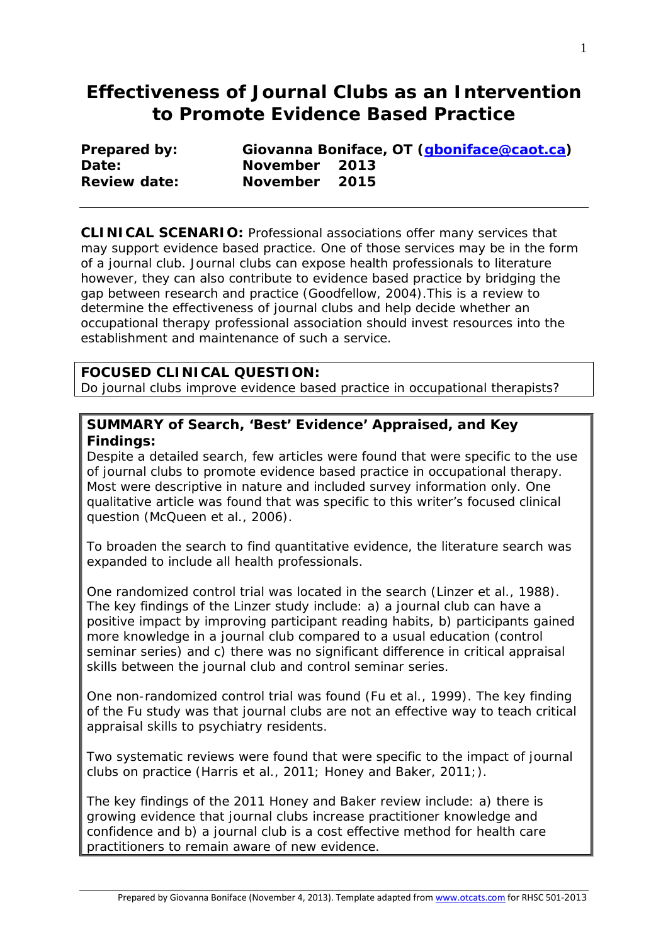# **Effectiveness of Journal Clubs as an Intervention to Promote Evidence Based Practice**

| <b>Prepared by:</b> |               | Giovanna Boniface, OT ( <i>gboniface@caot.ca</i> ) |
|---------------------|---------------|----------------------------------------------------|
| Date:               | November 2013 |                                                    |
| <b>Review date:</b> | November 2015 |                                                    |

**CLINICAL SCENARIO:** Professional associations offer many services that may support evidence based practice. One of those services may be in the form of a journal club. Journal clubs can expose health professionals to literature however, they can also contribute to evidence based practice by bridging the gap between research and practice (Goodfellow, 2004).This is a review to determine the effectiveness of journal clubs and help decide whether an occupational therapy professional association should invest resources into the establishment and maintenance of such a service.

#### **FOCUSED CLINICAL QUESTION:**

Do journal clubs improve evidence based practice in occupational therapists?

#### **SUMMARY of Search, 'Best' Evidence' Appraised, and Key Findings:**

Despite a detailed search, few articles were found that were specific to the use of journal clubs to promote evidence based practice in occupational therapy. Most were descriptive in nature and included survey information only. One qualitative article was found that was specific to this writer's focused clinical question (McQueen et al., 2006).

To broaden the search to find quantitative evidence, the literature search was expanded to include all health professionals.

One randomized control trial was located in the search (Linzer et al., 1988). The key findings of the Linzer study include: a) a journal club can have a positive impact by improving participant reading habits, b) participants gained more knowledge in a journal club compared to a usual education (control seminar series) and c) there was no significant difference in critical appraisal skills between the journal club and control seminar series.

One non-randomized control trial was found (Fu et al., 1999). The key finding of the Fu study was that journal clubs are not an effective way to teach critical appraisal skills to psychiatry residents.

Two systematic reviews were found that were specific to the impact of journal clubs on practice (Harris et al., 2011; Honey and Baker, 2011;).

The key findings of the 2011 Honey and Baker review include: a) there is growing evidence that journal clubs increase practitioner knowledge and confidence and b) a journal club is a cost effective method for health care practitioners to remain aware of new evidence.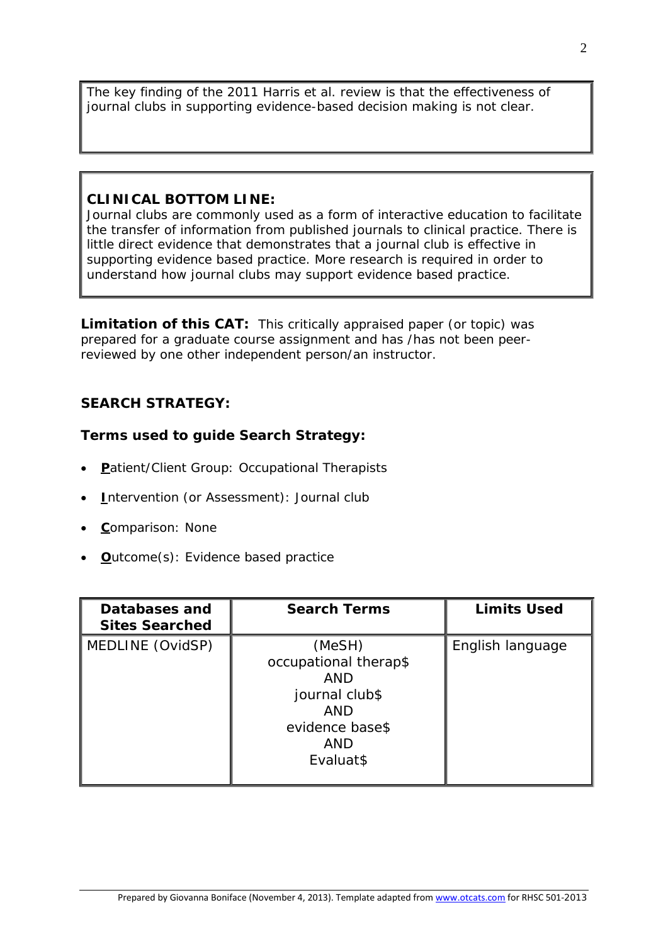The key finding of the 2011 Harris et al. review is that the effectiveness of journal clubs in supporting evidence-based decision making is not clear.

#### **CLINICAL BOTTOM LINE:**

Journal clubs are commonly used as a form of interactive education to facilitate the transfer of information from published journals to clinical practice. There is little direct evidence that demonstrates that a journal club is effective in supporting evidence based practice. More research is required in order to understand how journal clubs may support evidence based practice.

**Limitation of this CAT:** This critically appraised paper (or topic) was prepared for a graduate course assignment and has /has not been peerreviewed by one other independent person/an instructor.

### **SEARCH STRATEGY:**

### **Terms used to guide Search Strategy:**

- **P**atient/Client Group: Occupational Therapists
- **I**ntervention (or Assessment): Journal club
- **C**omparison: None
- **O**utcome(s): Evidence based practice

| Databases and<br><b>Sites Searched</b> | <b>Search Terms</b>                                                                                                         | <b>Limits Used</b> |
|----------------------------------------|-----------------------------------------------------------------------------------------------------------------------------|--------------------|
| MEDLINE (OvidSP)                       | (MeSH)<br>occupational therap\$<br><b>AND</b><br>journal club\$<br><b>AND</b><br>evidence base\$<br><b>AND</b><br>Evaluat\$ | English language   |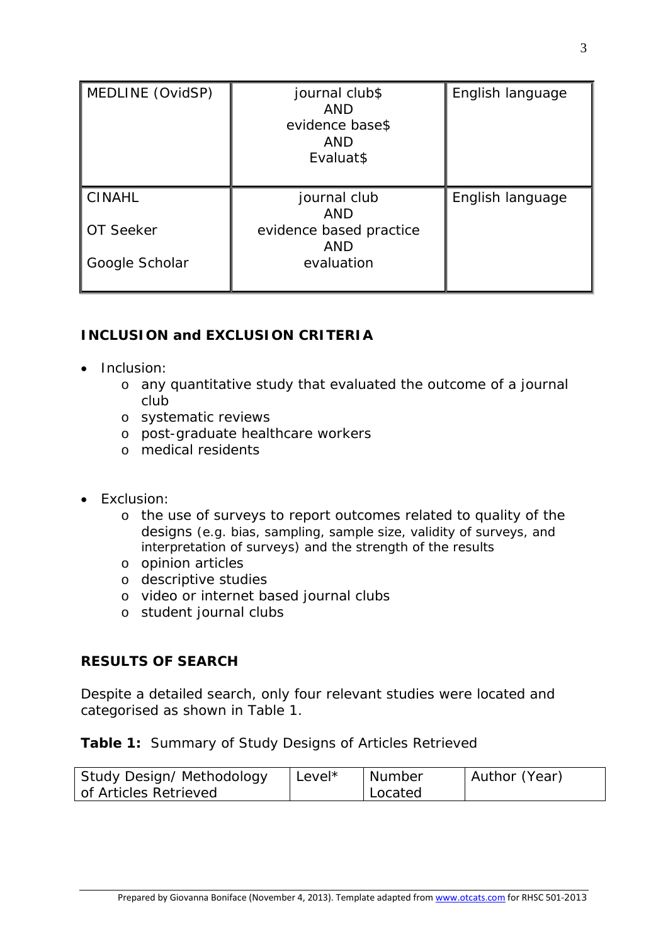| MEDLINE (OvidSP) | journal club\$<br><b>AND</b><br>evidence base\$<br>AND<br>Evaluat\$ | English language |
|------------------|---------------------------------------------------------------------|------------------|
| <b>CINAHL</b>    | journal club<br><b>AND</b>                                          | English language |
| OT Seeker        | evidence based practice<br><b>AND</b>                               |                  |
| Google Scholar   | evaluation                                                          |                  |

## **INCLUSION and EXCLUSION CRITERIA**

- Inclusion:
	- o any quantitative study that evaluated the outcome of a journal club
	- o systematic reviews
	- o post-graduate healthcare workers
	- o medical residents
- Exclusion:
	- o the use of surveys to report outcomes related to quality of the designs (e.g. bias, sampling, sample size, validity of surveys, and interpretation of surveys) and the strength of the results
	- o opinion articles
	- o descriptive studies
	- o video or internet based journal clubs
	- o student journal clubs

### **RESULTS OF SEARCH**

Despite a detailed search, only four relevant studies were located and categorised as shown in Table 1.

### **Table 1:** Summary of Study Designs of Articles Retrieved

| Study Design/ Methodology | Level* | Number  | Author (Year) |
|---------------------------|--------|---------|---------------|
| of Articles Retrieved     |        | Located |               |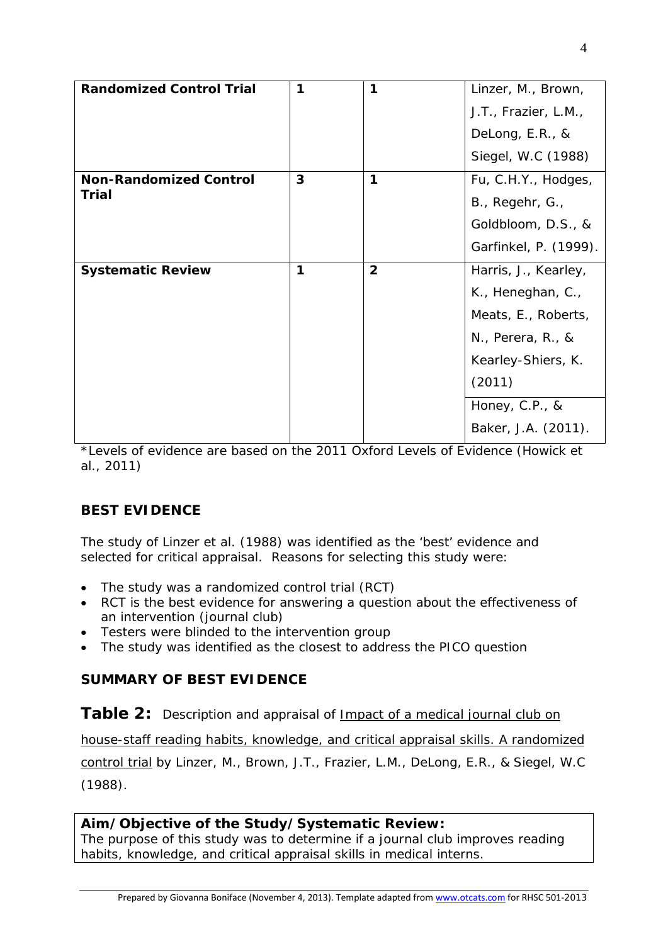| <b>Randomized Control Trial</b> | 1 | 1              | Linzer, M., Brown,          |
|---------------------------------|---|----------------|-----------------------------|
|                                 |   |                | J.T., Frazier, L.M.,        |
|                                 |   |                | DeLong, E.R., &             |
|                                 |   |                | Siegel, W.C (1988)          |
| <b>Non-Randomized Control</b>   | 3 | 1              | Fu, C.H.Y., Hodges,         |
| <b>Trial</b>                    |   |                | B., Regehr, G.,             |
|                                 |   |                | Goldbloom, D.S., &          |
|                                 |   |                | Garfinkel, P. (1999).       |
|                                 |   |                |                             |
| <b>Systematic Review</b>        | 1 | $\overline{2}$ | Harris, J., Kearley,        |
|                                 |   |                | K., Heneghan, C.,           |
|                                 |   |                | Meats, E., Roberts,         |
|                                 |   |                | $N_{\cdot}$ , Perera, R., & |
|                                 |   |                | Kearley-Shiers, K.          |
|                                 |   |                | (2011)                      |
|                                 |   |                | Honey, C.P., &              |

\*Levels of evidence are based on the 2011 Oxford Levels of Evidence (Howick et al., 2011)

### **BEST EVIDENCE**

The study of Linzer et al. (1988) was identified as the 'best' evidence and selected for critical appraisal. Reasons for selecting this study were:

- The study was a randomized control trial (RCT)
- RCT is the best evidence for answering a question about the effectiveness of an intervention (journal club)
- Testers were blinded to the intervention group
- The study was identified as the closest to address the PICO question

### **SUMMARY OF BEST EVIDENCE**

**Table 2:** Description and appraisal of *Impact of a medical journal club on* 

*house-staff reading habits, knowledge, and critical appraisal skills. A randomized control trial* by Linzer, M., Brown, J.T., Frazier, L.M., DeLong, E.R., & Siegel, W.C (1988).

#### **Aim/Objective of the Study/Systematic Review:**

The purpose of this study was to determine if a journal club improves reading habits, knowledge, and critical appraisal skills in medical interns.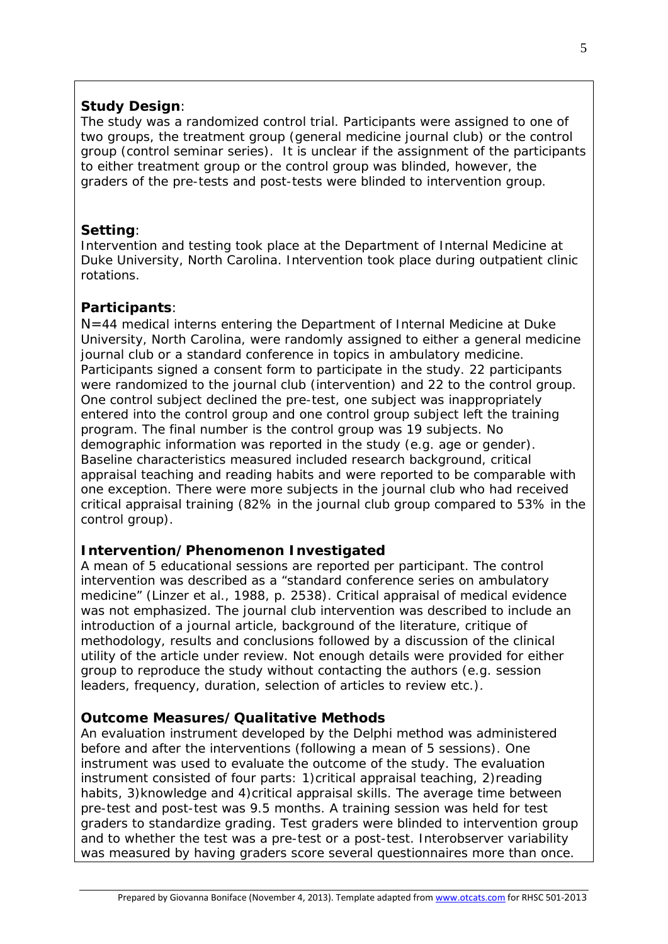### **Study Design**:

The study was a randomized control trial. Participants were assigned to one of two groups, the treatment group (general medicine journal club) or the control group (control seminar series). It is unclear if the assignment of the participants to either treatment group or the control group was blinded, however, the graders of the pre-tests and post-tests were blinded to intervention group.

### **Setting**:

Intervention and testing took place at the Department of Internal Medicine at Duke University, North Carolina. Intervention took place during outpatient clinic rotations.

### **Participants**:

N=44 medical interns entering the Department of Internal Medicine at Duke University, North Carolina, were randomly assigned to either a general medicine journal club or a standard conference in topics in ambulatory medicine. Participants signed a consent form to participate in the study. 22 participants were randomized to the journal club (intervention) and 22 to the control group. One control subject declined the pre-test, one subject was inappropriately entered into the control group and one control group subject left the training program. The final number is the control group was 19 subjects. No demographic information was reported in the study (e.g. age or gender). Baseline characteristics measured included research background, critical appraisal teaching and reading habits and were reported to be comparable with one exception. There were more subjects in the journal club who had received critical appraisal training (82% in the journal club group compared to 53% in the control group).

### **Intervention/Phenomenon Investigated**

A mean of 5 educational sessions are reported per participant. The control intervention was described as a "*standard conference series on ambulatory medicine*" (Linzer et al., 1988, p. 2538). Critical appraisal of medical evidence was not emphasized. The journal club intervention was described to include an introduction of a journal article, background of the literature, critique of methodology, results and conclusions followed by a discussion of the clinical utility of the article under review. Not enough details were provided for either group to reproduce the study without contacting the authors (e.g. session leaders, frequency, duration, selection of articles to review etc.).

### **Outcome Measures/Qualitative Methods**

An evaluation instrument developed by the Delphi method was administered before and after the interventions (following a mean of 5 sessions). One instrument was used to evaluate the outcome of the study. The evaluation instrument consisted of four parts: 1)critical appraisal teaching, 2)reading habits, 3) knowledge and 4) critical appraisal skills. The average time between pre-test and post-test was 9.5 months. A training session was held for test graders to standardize grading. Test graders were blinded to intervention group and to whether the test was a pre-test or a post-test. Interobserver variability was measured by having graders score several questionnaires more than once.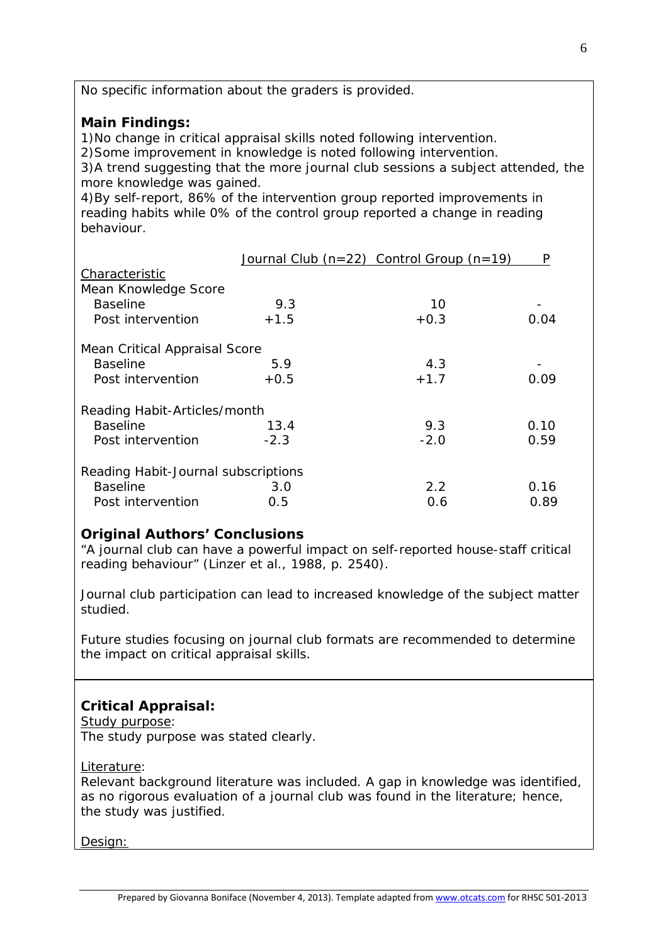| No specific information about the graders is provided.                                                                                                                                                                                                                                                                                                                                                                                                           |        |                                              |      |  |
|------------------------------------------------------------------------------------------------------------------------------------------------------------------------------------------------------------------------------------------------------------------------------------------------------------------------------------------------------------------------------------------------------------------------------------------------------------------|--------|----------------------------------------------|------|--|
| <b>Main Findings:</b><br>1) No change in critical appraisal skills noted following intervention.<br>2) Some improvement in knowledge is noted following intervention.<br>3) A trend suggesting that the more journal club sessions a subject attended, the<br>more knowledge was gained.<br>4) By self-report, 86% of the intervention group reported improvements in<br>reading habits while 0% of the control group reported a change in reading<br>behaviour. |        |                                              |      |  |
|                                                                                                                                                                                                                                                                                                                                                                                                                                                                  |        | Journal Club $(n=22)$ Control Group $(n=19)$ | P    |  |
| Characteristic                                                                                                                                                                                                                                                                                                                                                                                                                                                   |        |                                              |      |  |
| Mean Knowledge Score                                                                                                                                                                                                                                                                                                                                                                                                                                             |        |                                              |      |  |
| <b>Baseline</b>                                                                                                                                                                                                                                                                                                                                                                                                                                                  | 9.3    | 10                                           |      |  |
| Post intervention                                                                                                                                                                                                                                                                                                                                                                                                                                                | $+1.5$ | $+0.3$                                       | 0.04 |  |
| Mean Critical Appraisal Score                                                                                                                                                                                                                                                                                                                                                                                                                                    |        |                                              |      |  |
| <b>Baseline</b>                                                                                                                                                                                                                                                                                                                                                                                                                                                  | 5.9    | 4.3                                          |      |  |
| Post intervention                                                                                                                                                                                                                                                                                                                                                                                                                                                | $+0.5$ | $+1.7$                                       | 0.09 |  |
| Reading Habit-Articles/month                                                                                                                                                                                                                                                                                                                                                                                                                                     |        |                                              |      |  |
| <b>Baseline</b>                                                                                                                                                                                                                                                                                                                                                                                                                                                  | 13.4   | 9.3                                          | 0.10 |  |
| Post intervention                                                                                                                                                                                                                                                                                                                                                                                                                                                | $-2.3$ | $-2.0$                                       | 0.59 |  |
| Reading Habit-Journal subscriptions                                                                                                                                                                                                                                                                                                                                                                                                                              |        |                                              |      |  |
| <b>Baseline</b>                                                                                                                                                                                                                                                                                                                                                                                                                                                  | 3.0    | 2.2                                          | 0.16 |  |
| Post intervention                                                                                                                                                                                                                                                                                                                                                                                                                                                | 0.5    | 0.6                                          | 0.89 |  |

#### **Original Authors' Conclusions**

"*A journal club can have a powerful impact on self-reported house-staff critical reading behaviour*" (Linzer et al., 1988, p. 2540).

Journal club participation can lead to increased knowledge of the subject matter studied.

Future studies focusing on journal club formats are recommended to determine the impact on critical appraisal skills.

### **Critical Appraisal:**

Study purpose: The study purpose was stated clearly.

Literature:

Relevant background literature was included. A gap in knowledge was identified, as no rigorous evaluation of a journal club was found in the literature; hence, the study was justified.

Design: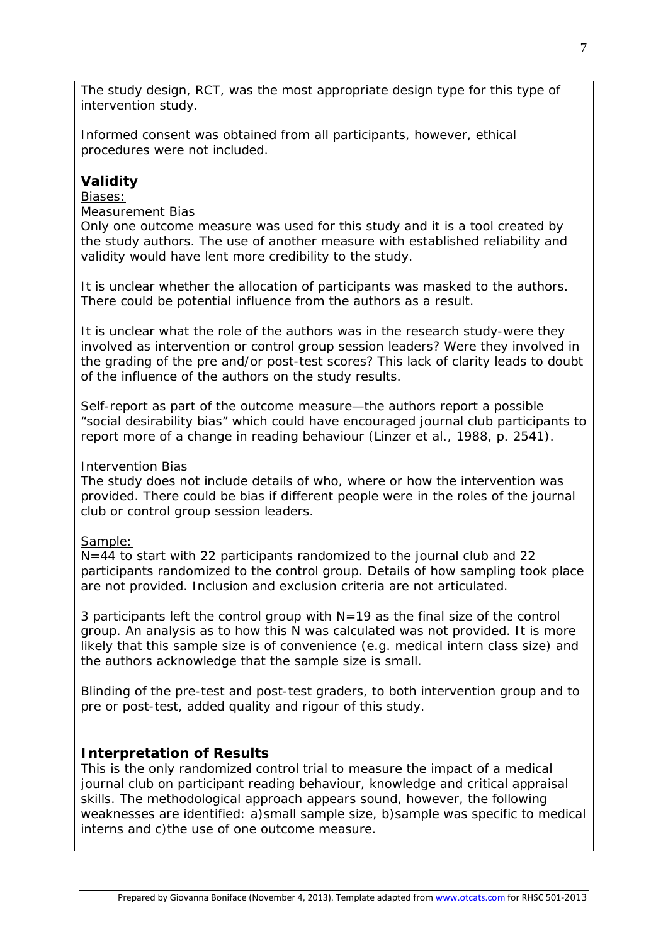The study design, RCT, was the most appropriate design type for this type of intervention study.

Informed consent was obtained from all participants, however, ethical procedures were not included.

### **Validity**

#### Biases:

#### *Measurement Bias*

Only one outcome measure was used for this study and it is a tool created by the study authors. The use of another measure with established reliability and validity would have lent more credibility to the study.

It is unclear whether the allocation of participants was masked to the authors. There could be potential influence from the authors as a result.

It is unclear what the role of the authors was in the research study-were they involved as intervention or control group session leaders? Were they involved in the grading of the pre and/or post-test scores? This lack of clarity leads to doubt of the influence of the authors on the study results.

Self-report as part of the outcome measure—the authors report a possible "*social desirability bias*" which could have encouraged journal club participants to report more of a change in reading behaviour (Linzer et al., 1988, p. 2541).

#### *Intervention Bias*

The study does not include details of who, where or how the intervention was provided. There could be bias if different people were in the roles of the journal club or control group session leaders.

#### Sample:

N=44 to start with 22 participants randomized to the journal club and 22 participants randomized to the control group. Details of how sampling took place are not provided. Inclusion and exclusion criteria are not articulated.

3 participants left the control group with  $N=19$  as the final size of the control group. An analysis as to how this N was calculated was not provided. It is more likely that this sample size is of convenience (e.g. medical intern class size) and the authors acknowledge that the sample size is small.

Blinding of the pre-test and post-test graders, to both intervention group and to pre or post-test, added quality and rigour of this study.

#### **Interpretation of Results**

This is the only randomized control trial to measure the impact of a medical journal club on participant reading behaviour, knowledge and critical appraisal skills. The methodological approach appears sound, however, the following weaknesses are identified: a)small sample size, b)sample was specific to medical interns and c)the use of one outcome measure.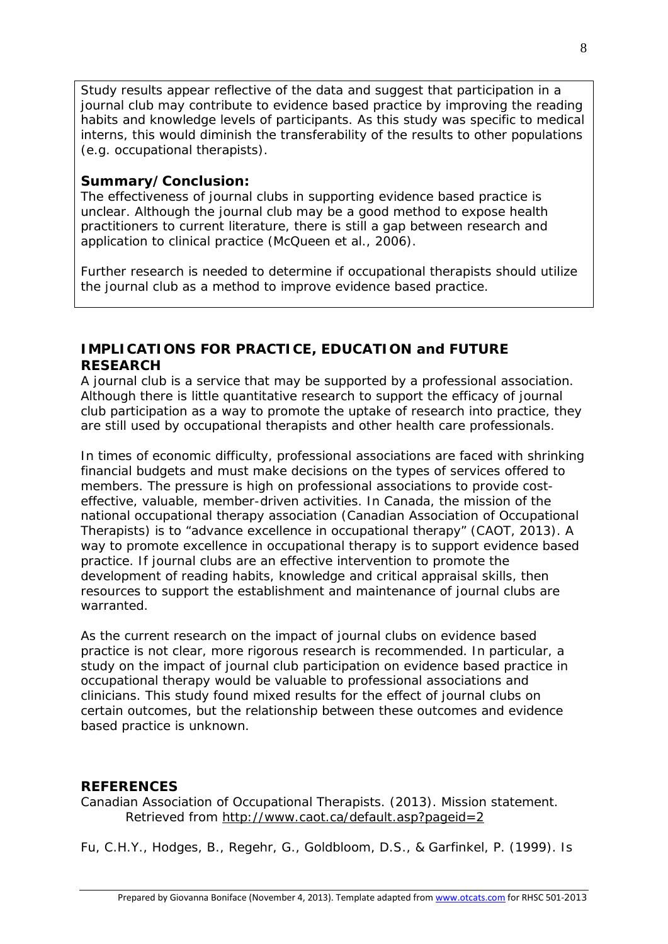Study results appear reflective of the data and suggest that participation in a journal club may contribute to evidence based practice by improving the reading habits and knowledge levels of participants. As this study was specific to medical interns, this would diminish the transferability of the results to other populations (e.g. occupational therapists).

#### **Summary/Conclusion:**

The effectiveness of journal clubs in supporting evidence based practice is unclear. Although the journal club may be a good method to expose health practitioners to current literature, there is still a gap between research and application to clinical practice (McQueen et al., 2006).

Further research is needed to determine if occupational therapists should utilize the journal club as a method to improve evidence based practice.

#### **IMPLICATIONS FOR PRACTICE, EDUCATION and FUTURE RESEARCH**

A journal club is a service that may be supported by a professional association. Although there is little quantitative research to support the efficacy of journal club participation as a way to promote the uptake of research into practice, they are still used by occupational therapists and other health care professionals.

In times of economic difficulty, professional associations are faced with shrinking financial budgets and must make decisions on the types of services offered to members. The pressure is high on professional associations to provide costeffective, valuable, member-driven activities. In Canada, the mission of the national occupational therapy association (Canadian Association of Occupational Therapists) is to "*advance excellence in occupational therapy*" (CAOT, 2013). A way to promote excellence in occupational therapy is to support evidence based practice. If journal clubs are an effective intervention to promote the development of reading habits, knowledge and critical appraisal skills, then resources to support the establishment and maintenance of journal clubs are warranted.

As the current research on the impact of journal clubs on evidence based practice is not clear, more rigorous research is recommended. In particular, a study on the impact of journal club participation on evidence based practice in occupational therapy would be valuable to professional associations and clinicians. This study found mixed results for the effect of journal clubs on certain outcomes, but the relationship between these outcomes and evidence based practice is unknown.

#### **REFERENCES**

Canadian Association of Occupational Therapists. (2013). Mission statement. Retrieved from<http://www.caot.ca/default.asp?pageid=2>

Fu, C.H.Y., Hodges, B., Regehr, G., Goldbloom, D.S., & Garfinkel, P. (1999). Is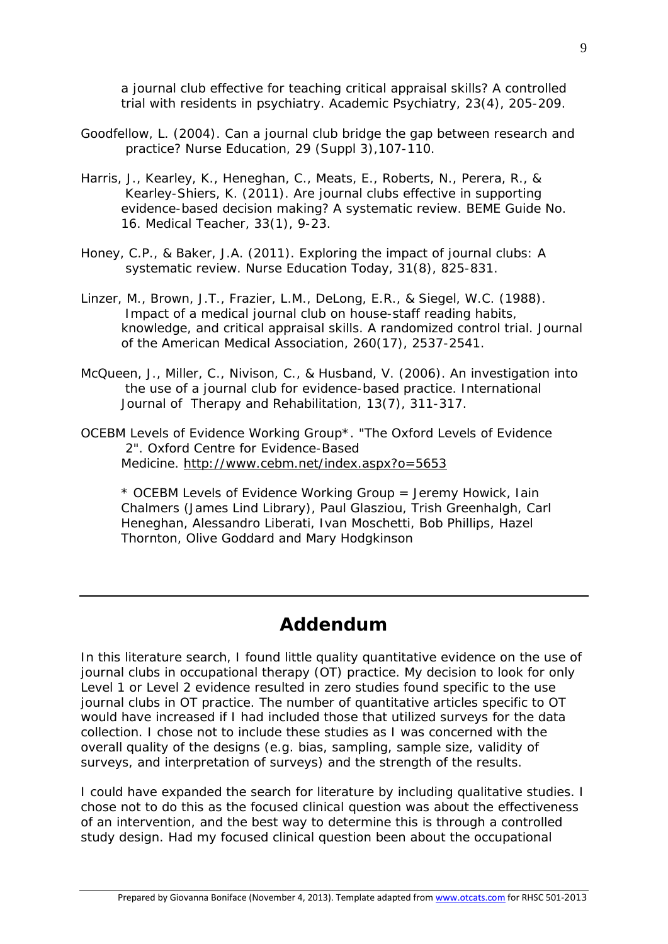a journal club effective for teaching critical appraisal skills? A controlled trial with residents in psychiatry. *Academic Psychiatry, 23*(4), 205-209.

- Goodfellow, L. (2004). Can a journal club bridge the gap between research and practice? *Nurse Education, 29* (Suppl 3),107-110.
- Harris, J., Kearley, K., Heneghan, C., Meats, E., Roberts, N., Perera, R., & Kearley-Shiers, K. (2011). Are journal clubs effective in supporting evidence-based decision making? A systematic review. BEME Guide No. 16. *Medical Teacher, 33*(1), 9-23.
- Honey, C.P., & Baker, J.A. (2011). Exploring the impact of journal clubs: A systematic review. *Nurse Education Today, 31*(8), 825-831.
- Linzer, M., Brown, J.T., Frazier, L.M., DeLong, E.R., & Siegel, W.C. (1988). Impact of a medical journal club on house-staff reading habits, knowledge, and critical appraisal skills. A randomized control trial. *Journal of the American Medical Association, 260*(17), 2537-2541.
- McQueen, J., Miller, C., Nivison, C., & Husband, V. (2006). An investigation into the use of a journal club for evidence-based practice. *International Journal of Therapy and Rehabilitation, 13*(7), 311-317.
- OCEBM Levels of Evidence Working Group\*. "The Oxford Levels of Evidence 2". Oxford Centre for Evidence-Based Medicine. <http://www.cebm.net/index.aspx?o=5653>

*\* OCEBM Levels of Evidence Working Group = Jeremy Howick, Iain Chalmers (James Lind Library), Paul Glasziou, Trish Greenhalgh, Carl Heneghan, Alessandro Liberati, Ivan Moschetti, Bob Phillips, Hazel Thornton, Olive Goddard and Mary Hodgkinson*

# **Addendum**

In this literature search, I found little quality quantitative evidence on the use of journal clubs in occupational therapy (OT) practice. My decision to look for only Level 1 or Level 2 evidence resulted in zero studies found specific to the use journal clubs in OT practice. The number of quantitative articles specific to OT would have increased if I had included those that utilized surveys for the data collection. I chose not to include these studies as I was concerned with the overall quality of the designs (e.g. bias, sampling, sample size, validity of surveys, and interpretation of surveys) and the strength of the results.

I could have expanded the search for literature by including qualitative studies. I chose not to do this as the focused clinical question was about the effectiveness of an intervention, and the best way to determine this is through a controlled study design. Had my focused clinical question been about the occupational